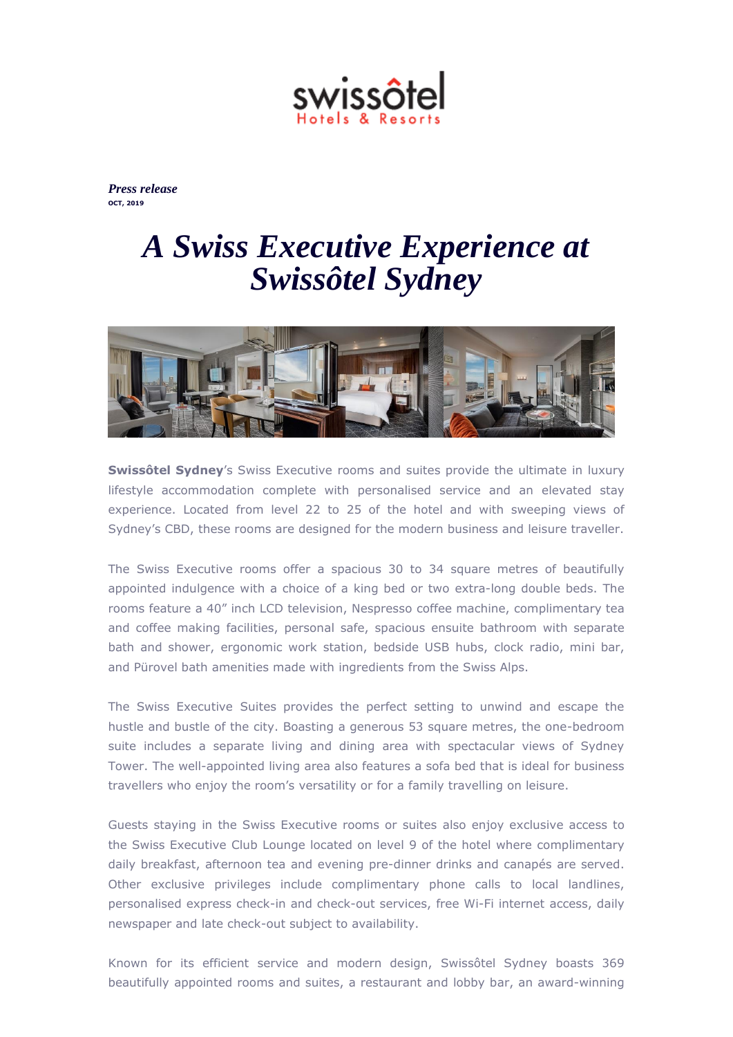

*Press release* **OCT, 2019**

## *A Swiss Executive Experience at Swissôtel Sydney*



**Swissôtel Sydney's** Swiss Executive rooms and suites provide the ultimate in luxury lifestyle accommodation complete with personalised service and an elevated stay experience. Located from level 22 to 25 of the hotel and with sweeping views of Sydney's CBD, these rooms are designed for the modern business and leisure traveller.

The Swiss Executive rooms offer a spacious 30 to 34 square metres of beautifully appointed indulgence with a choice of a king bed or two extra-long double beds. The rooms feature a 40" inch LCD television, Nespresso coffee machine, complimentary tea and coffee making facilities, personal safe, spacious ensuite bathroom with separate bath and shower, ergonomic work station, bedside USB hubs, clock radio, mini bar, and Pürovel bath amenities made with ingredients from the Swiss Alps.

The Swiss Executive Suites provides the perfect setting to unwind and escape the hustle and bustle of the city. Boasting a generous 53 square metres, the one-bedroom suite includes a separate living and dining area with spectacular views of Sydney Tower. The well-appointed living area also features a sofa bed that is ideal for business travellers who enjoy the room's versatility or for a family travelling on leisure.

Guests staying in the Swiss Executive rooms or suites also enjoy exclusive access to the Swiss Executive Club Lounge located on level 9 of the hotel where complimentary daily breakfast, afternoon tea and evening pre-dinner drinks and canapés are served. Other exclusive privileges include complimentary phone calls to local landlines, personalised express check-in and check-out services, free Wi-Fi internet access, daily newspaper and late check-out subject to availability.

Known for its efficient service and modern design, Swissôtel Sydney boasts 369 beautifully appointed rooms and suites, a restaurant and lobby bar, an award-winning